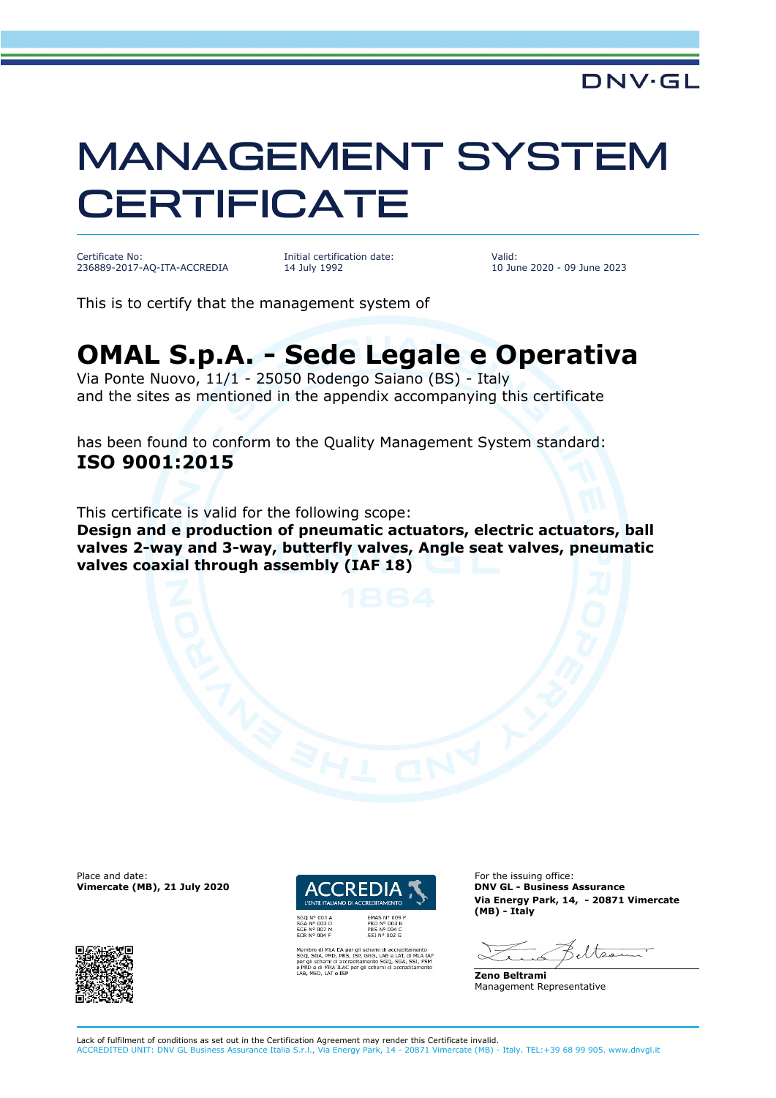## MANAGEMENT SYSTEM **CERTIFICATE**

Certificate No: 236889-2017-AQ-ITA-ACCREDIA Initial certification date: 14 July 1992

Valid: 10 June 2020 - 09 June 2023

This is to certify that the management system of

## **OMAL S.p.A. - Sede Legale e Operativa**

Via Ponte Nuovo, 11/1 - 25050 Rodengo Saiano (BS) - Italy and the sites as mentioned in the appendix accompanying this certificate

has been found to conform to the Quality Management System standard: **ISO 9001:2015**

This certificate is valid for the following scope:

**Design and e production of pneumatic actuators, electric actuators, ball valves 2-way and 3-way, butterfly valves, Angle seat valves, pneumatic valves coaxial through assembly (IAF 18)**

**Vimercate (MB), 21 July 2020** 





SHG, LAB e LAT, di MLA<br>ento SGQ, SGA, SSI, F<br>schemi di accreditame

Place and date: For the issuing office:<br> **Place and date:** For the issuing office:<br> **ENDIA TERREDIA TERREDIA DIN'ILE - Business Assurance Via Energy Park, 14, - 20871 Vimercate (MB) - Italy**

eltser

**Zeno Beltrami** Management Representative